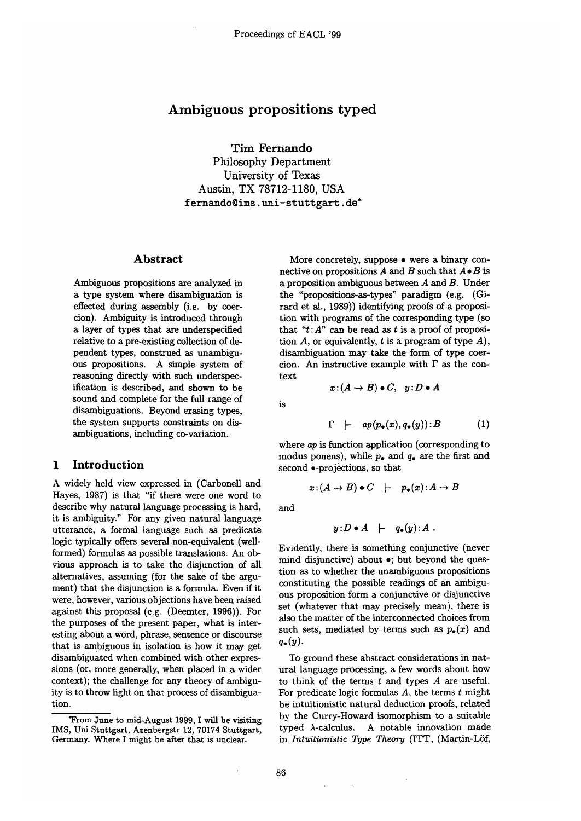# **Ambiguous propositions typed**

**Tim Fernando** 

**Philosophy Department University of Texas Austin, TX 78712-1180, USA**  fernando@ims.uni-stuttgart.de\*

### Abstract

Ambiguous propositions are analyzed in a type system where disambiguation is effected during assembly (i.e. by coercion). Ambiguity is introduced through a layer of types that are underspecified relative to a pre-existing collection of dependent types, construed as unambiguous propositions. A simple system of reasoning directly with such underspecification is described, and shown to be sound and complete for the full range of disambiguations. Beyond erasing types, the system supports constraints on disambiguations, including co-variation.

### **1 Introduction**

A widely held view expressed in (Carbonell and Hayes, 1987) is that "if there were one word to describe why natural language processing is hard, it is ambiguity." For any given natural language utterance, a formal language such as predicate logic typically offers several non-equivalent (wellformed) formulas as possible translations. An obvious approach is to take the disjunction of all alternatives, assuming (for the sake of the argument) that the disjunction is a formula. Even if it were, however, various objections have been raised against this proposal (e.g. (Deemter, 1996)). For the purposes of the present paper, what is interesting about a word, phrase, sentence or discourse that is ambiguous in isolation is how it may get disambiguated when combined with other expressions (or, more generally, when placed in a wider context); the challenge for any theory of ambiguity is to throw light on that process of disambiguation.

More concretely, suppose • were a binary connective on propositions A and B such that  $A \bullet B$  is a proposition ambiguous between  $A$  and  $B$ . Under the "propositions-as-types" paradigm (e.g. (Girard et al., 1989)) identifying proofs of a proposition with programs of the corresponding type (so that " $t:A$ " can be read as t is a proof of proposition  $A$ , or equivalently,  $t$  is a program of type  $A$ ), disambiguation may take the form of type coercion. An instructive example with  $\Gamma$  as the context

 $x:(A \rightarrow B) \bullet C, y:D \bullet A$ 

is

$$
\Gamma \quad \vdash \quad ap(p_{\bullet}(x), q_{\bullet}(y)) : B \tag{1}
$$

where *ap* is function application (corresponding to modus ponens), while  $p_{\bullet}$  and  $q_{\bullet}$  are the first and second  $\bullet$ -projections, so that

$$
x\colon (A\to B)\bullet C \quad \vdash \quad p_\bullet(x)\colon A\to B
$$

and

$$
y: D \bullet A \ \ \vdash \ \ q_{\bullet}(y): A \ .
$$

Evidently, there is something conjunctive (never mind disjunctive) about  $\bullet$ ; but beyond the question as to whether the unambiguous propositions constituting the possible readings of an ambiguous proposition form a conjunctive or disjunctive set (whatever that may precisely mean), there is also the matter of the interconnected choices from such sets, mediated by terms such as  $p_{\bullet}(x)$  and  $q_{\bullet}(y)$ .

To ground these abstract considerations in natural language processing, a few words about how to think of the terms t and types A are useful. For predicate logic formulas  $A$ , the terms  $t$  might be intuitionistic natural deduction proofs, related by the Curry-Howard isomorphism to a suitable typed  $\lambda$ -calculus. A notable innovation made in *Intuitionistic Type Theory* (ITT, (Martin-Löf,

 $\sim$ 

<sup>\*</sup>From June to mid-August 1999, I will be visiting IMS, Uni Stuttgart, Azenbergstr 12, 70174 Stuttgart, Germany. Where I might be after that is unclear.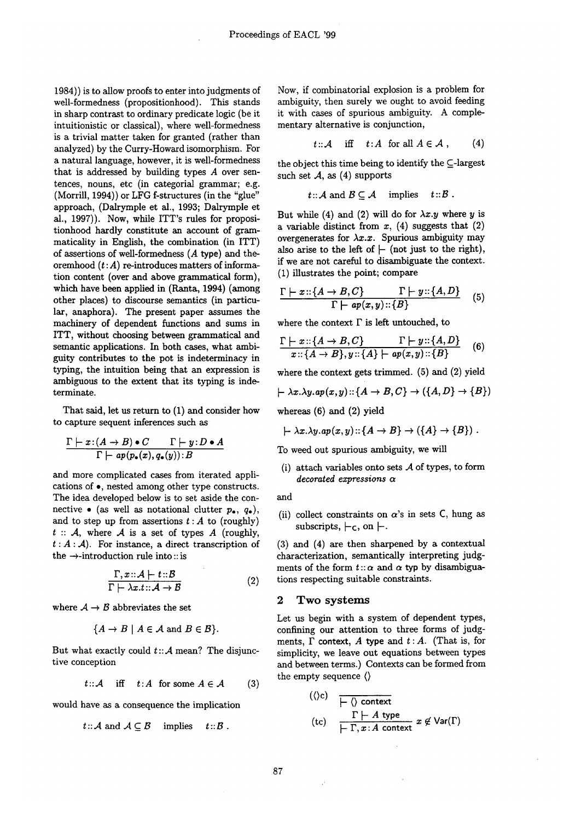1984)) is to allow proofs to enter into judgments of well-formedness (propositionhood). This stands in sharp contrast to ordinary predicate logic (be it intuitionistic or classical), where well-formedness is a trivial matter taken for granted (rather than analyzed) by the Curry-Howard isomorphism. For a natural language, however, it is well-formedness that is addressed by building types  $A$  over sentences, nouns, etc (in categorial grammar; e.g. (Morrill, 1994)) or LFG f-structures (in the "glue" approach, (Dalrymple et al., 1993; Dalrymple et al., 1997)). Now, while ITT's rules for propositionhood hardly constitute an account of grammaticality in English, the combination (in ITT) of assertions of well-formedness (A type) and theoremhood  $(t:A)$  re-introduces matters of information content (over and above grammatical form), which have been applied in (Ranta, 1994) (among other places) to discourse semantics (in particular, anaphora). The present paper assumes the machinery of dependent functions and sums in ITT, without choosing between grammatical and semantic applications. In both cases, what ambiguity contributes to the pot is indeterminacy in typing, the intuition being that an expression is ambiguous to the extent that its typing is indeterminate.

That said, let us return to (1) and consider how to capture sequent inferences such as

$$
\frac{\Gamma\vdash x\colon(A\to B)\bullet C\qquad \Gamma\vdash y\colon D\bullet A}{\Gamma\vdash ap(p_\bullet(x),q_\bullet(y))\colon B}
$$

and more complicated cases from iterated applications of  $\bullet$ , nested among other type constructs. The idea developed below is to set aside the con- and nective • (as well as notational clutter  $p_{\bullet}$ ,  $q_{\bullet}$ ), and to step up from assertions  $t : A$  to (roughly)  $t :: A$ , where A is a set of types A (roughly,  $t : A : A$ . For instance, a direct transcription of the  $\rightarrow$ -introduction rule into :: is

$$
\frac{\Gamma, x \dots A \mid t \dots B}{\Gamma \mid \lambda x. t \dots A \to B} \tag{2}
$$

where  $A \rightarrow B$  abbreviates the set

$$
\{A \to B \mid A \in \mathcal{A} \text{ and } B \in \mathcal{B}\}.
$$

But what exactly could  $t::A$  mean? The disjunctive conception

$$
t::\mathcal{A} \quad \text{iff} \quad t:A \text{ for some } A \in \mathcal{A} \tag{3}
$$

would have as a consequence the implication

$$
t
$$
 ::  $A$  and  $A \subseteq B$  implies  $t$  ::  $B$ .

Now, if combinatorial explosion is a problem for ambiguity, then surely we ought to avoid feeding it with cases of spurious ambiguity. A complementary alternative is conjunction,

$$
t::\mathcal{A} \quad \text{iff} \quad t:A \text{ for all } A\in\mathcal{A} \;, \qquad (4)
$$

the object this time being to identify the  $\subseteq$ -largest such set  $A$ , as  $(4)$  supports

$$
t:: A
$$
 and  $B \subseteq A$  implies  $t::B$ .

But while (4) and (2) will do for  $\lambda x.y$  where y is a variable distinct from  $x$ , (4) suggests that (2) overgenerates for  $\lambda x.x$ . Spurious ambiguity may also arise to the left of  $\vdash$  (not just to the right), if we are not careful to disambiguate the context. (1) illustrates the point; compare

$$
\frac{\Gamma \vdash x :: \{A \rightarrow B, C\}}{\Gamma \vdash ap(x, y) :: \{B\}} \quad (5)
$$

where the context  $\Gamma$  is left untouched, to

$$
\frac{\Gamma \vdash x :: \{A \rightarrow B, C\}}{x :: \{A \rightarrow B\}, y :: \{A\} \vdash ap(x, y) :: \{B\}} \quad (6)
$$

where the context gets trimmed. (5) and (2) yield

$$
\vdash \lambda x.\lambda y.\mathit{ap}(x,y) :: \{A \rightarrow B, C\} \rightarrow (\{A, D\} \rightarrow \{B\})
$$

whereas (6) and (2) yield

$$
\vdash \lambda x.\lambda y.\mathit{ap}(x,y) :: \{A \rightarrow B\} \rightarrow (\{A\} \rightarrow \{B\}) .
$$

To weed out spurious ambiguity, we will

(i) attach variables onto sets  $A$  of types, to form *decorated expressions ct* 

(ii) collect constraints on  $\alpha$ 's in sets C, hung as subscripts,  $\vdash_{\mathsf{C}}$ , on  $\vdash$ .

(3) and (4) are then sharpened by a contextual characterization, semantically interpreting judgments of the form  $t : \alpha$  and  $\alpha$  typ by disambiguations respecting suitable constraints.

#### 2 Two systems

Let us begin with a system of dependent types, confining our attention to three forms of judgments,  $\Gamma$  context,  $A$  type and  $t:A$ . (That is, for simplicity, we leave out equations between types and between terms.) Contexts can be formed from the empty sequence ()

$$
(\langle c \rangle c) \quad \frac{\Gamma \vdash A \text{ type}}{\vdash \Gamma, x:A \text{ context}} \quad x \not\in \text{Var}(\Gamma)
$$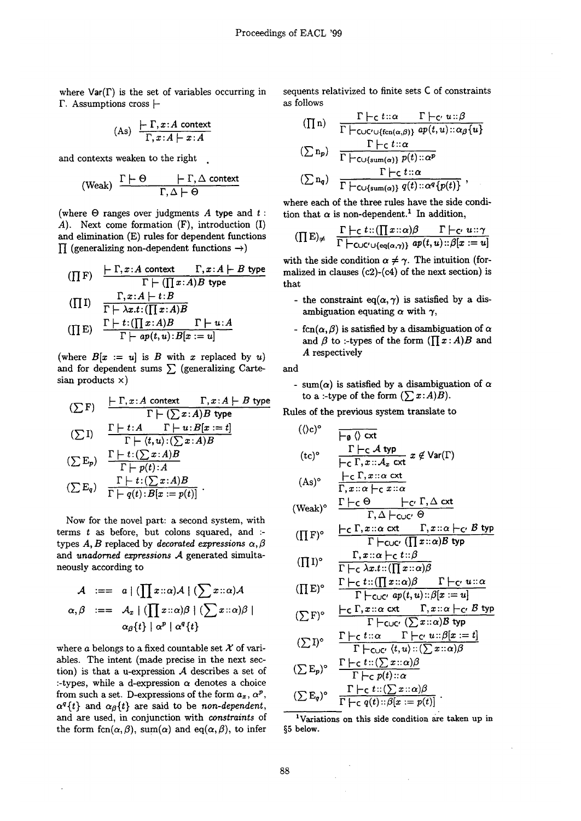where  $Var(\Gamma)$  is the set of variables occurring in  $\Gamma$ . Assumptions cross  $\vdash$ 

$$
(As) \frac{\vdash \Gamma, x:A \text{ context}}{\Gamma, x:A \vdash x:A}
$$

and contexts weaken to the right

(Weak) 
$$
\frac{\Gamma \vdash \Theta \qquad \vdash \Gamma, \Delta \text{ context}}{\Gamma, \Delta \vdash \Theta}
$$

(where  $\Theta$  ranges over judgments A type and t: A). Next come formation (F), introduction (I) and elimination (E) rules for dependent functions  $\Pi$  (generalizing non-dependent functions  $\rightarrow$ )

$$
\begin{array}{ll}\n\text{(} \prod F) & \frac{\vdash \Gamma, x:A \text{ context } \quad \Gamma, x:A \models B \text{ type } }{\Gamma \models (\prod x:A)B \text{ type } } \\
\text{(} \prod I) & \frac{\Gamma, x:A \models t:B}{\Gamma \models \lambda x.t: (\prod x:A)B} \\
\text{(} \prod E) & \frac{\Gamma \models t: (\prod x:A)B \quad \Gamma \models u:A}{\Gamma \models ap(t,u):B[x:=u]} \\
\end{array}
$$

(where  $B[x := u]$  is B with x replaced by u) and for dependent sums  $\sum$  (generalizing Cartesian products  $x$ )

$$
(\sum F) \quad \frac{\vdash \Gamma, x:A \text{ context} \quad \Gamma, x:A \vdash B \text{ type}}{\Gamma \vdash (\sum x:A)B \text{ type}}
$$
\n
$$
(\sum I) \quad \frac{\Gamma \vdash t:A \quad \Gamma \vdash u:B[x:=t]}{\Gamma \vdash (t,u):(\sum x:A)B}
$$
\n
$$
(\sum E_p) \quad \frac{\Gamma \vdash t:(\sum x:A)B}{\Gamma \vdash p(t):A}
$$
\n
$$
(\sum E_q) \quad \frac{\Gamma \vdash t:(\sum x:A)B}{\Gamma \vdash q(t):B[x:=p(t)]}
$$

Now for the novel part: a second system, with terms  $t$  as before, but colons squared, and :types  $A, B$  replaced by *decorated expressions*  $\alpha, \beta$ and *unadorned expressions* A generated simultaneously according to

$$
\mathcal{A} := a \mid (\prod x :: \alpha) \mathcal{A} \mid (\sum x :: \alpha) \mathcal{A}
$$
  

$$
\alpha, \beta := A_x \mid (\prod x :: \alpha) \beta \mid (\sum x :: \alpha) \beta \mid
$$
  

$$
\alpha_{\beta} \{t\} \mid \alpha^p \mid \alpha^q \{t\}
$$

where a belongs to a fixed countable set  $\mathcal X$  of variables. The intent (made precise in the next section) is that a u-expression  $A$  describes a set of :-types, while a d-expression  $\alpha$  denotes a choice from such a set. D-expressions of the form  $a_x$ ,  $\alpha^p$ ,  $\alpha^{q}\{t\}$  and  $\alpha_{\beta}\{t\}$  are said to be *non-dependent*, and are used, in conjunction with *constraints* of the form  $fcn(\alpha,\beta)$ , sum( $\alpha$ ) and eq( $\alpha,\beta$ ), to infer sequents relativized to finite sets C of constraints as follows

$$
(\prod n) \quad \frac{\Gamma \vdash_{\mathsf{C}} t::\alpha \quad \Gamma \vdash_{\mathsf{C'}} u::\beta}{\Gamma \vdash_{\mathsf{CUC}' \cup \{\text{fen}(\alpha,\beta)\}} ap(t,u): \alpha_{\beta}\{u\}}
$$
\n
$$
(\sum n_p) \quad \frac{\Gamma \vdash_{\mathsf{C}} t::\alpha}{\Gamma \vdash_{\mathsf{C}\cup \{\text{sum}(\alpha)\}} p(t): \alpha^p}
$$
\n
$$
(\sum n_q) \quad \frac{\Gamma \vdash_{\mathsf{C}} t::\alpha}{\Gamma \vdash_{\mathsf{C}\cup \{\text{sum}(\alpha)\}} q(t): \alpha^q\{p(t)\}},
$$

where each of the three rules have the side condition that  $\alpha$  is non-dependent.<sup>1</sup> In addition,

$$
(\prod E)_{\neq} \quad \frac{\Gamma \vdash_{\mathsf{C}} t::(\prod x::\alpha)\beta \qquad \Gamma \vdash_{\mathsf{C'}} u::\gamma}{\Gamma \vdash_{\mathsf{C}\cup\mathsf{C}\cup\{\text{eq}(\alpha,\gamma)\}\,} ap(t,u): \beta[x:=u]}
$$

with the side condition  $\alpha \neq \gamma$ . The intuition (formalized in clauses  $(c2)-(c4)$  of the next section) is that

- the constraint eq( $\alpha$ , $\gamma$ ) is satisfied by a disambiguation equating  $\alpha$  with  $\gamma$ ,
- $fcn(\alpha, \beta)$  is satisfied by a disambiguation of  $\alpha$ and  $\beta$  to :-types of the form  $(\prod x : A)B$  and A respectively

and

- sum( $\alpha$ ) is satisfied by a disambiguation of  $\alpha$ to a :-type of the form  $(\sum x:A)B$ ).

Rules of the previous system translate to

$$
(\langle c \rangle^{\circ} \qquad \frac{\overline{\qquad \qquad } \quad \overline{\qquad \qquad } \quad \langle c \rangle^{\circ}}{\overline{\qquad \qquad } \quad \frac{\Gamma \vdash c \mathcal{A} \text{ typ}}{\overline{\qquad \qquad } \quad \Gamma \vdash c \mathcal{A} \text{ typ}} \ x \notin \text{Var}(\Gamma)}
$$
\n
$$
(As)^{\circ} \qquad \frac{\overline{\qquad \qquad } \vdash c \Gamma, x :: \alpha \text{ ext}}{\Gamma, x :: \alpha \vdash c \ x :: \alpha}
$$
\n
$$
(\text{Weak})^{\circ} \qquad \frac{\Gamma \vdash c \Theta}{\Gamma, \Delta \vdash c \cup c'} \Theta
$$

$$
(\prod F)^{\circ} \quad \frac{\vdash_C \Gamma, x \colon : \alpha \text{ ext} \qquad \Gamma, x \colon : \alpha \vdash_{C'} B \text{ typ}}{\Gamma \vdash_{C \cup C'} (\prod x \colon : \alpha) B \text{ typ}}
$$

$$
(\prod I)^{\circ} \quad \frac{\Gamma, x : \alpha \vdash_{\mathsf{C}} t : \beta}{\Gamma \vdash_{\mathsf{C}} \lambda x. t : (\prod x : \alpha)\beta}
$$
\n
$$
\Gamma \vdash_{\mathsf{C}} t : (\prod x : \alpha)\beta \quad \Gamma \vdash_{\mathsf{C}} t : \alpha
$$

$$
(\prod E)^{\circ} \quad \frac{\Gamma \vdash_{\mathsf{C}} t :: (\prod x :: \alpha)\beta \qquad \Gamma \vdash_{\mathsf{C'}} u :: \alpha}{\Gamma \vdash_{\mathsf{C}\cup\mathsf{C'}} a p(t,u) :: \beta[x := u]}
$$

$$
(\sum F)^{\circ} \quad \frac{\vdash_{\mathsf{C}} \Gamma, x \colon \alpha \ \mathsf{cxt}}{\Gamma \vdash_{\mathsf{C}\cup\mathsf{C'}}} \frac{\Gamma, x \colon \alpha \vdash_{\mathsf{C'}} B \ \mathsf{typ}}{\Gamma \vdash_{\mathsf{C}\cup\mathsf{C'}}} \frac{\Gamma}{(\sum x \colon \alpha)B \ \mathsf{typ}}
$$

$$
(\sum I)^{\circ} \quad \frac{\Gamma \vdash_{\mathsf{C}} t :: \alpha \qquad \Gamma \vdash_{\mathsf{C}'} u :: \beta[x := t]}{\Gamma \vdash_{\mathsf{C}\cup\mathsf{C}'} (t, u) :: (\sum x :: \alpha)\beta}
$$

$$
(\sum E_p)^{\circ} \frac{\Gamma \vdash_{\mathsf{C}} t::(\sum x::\alpha)\beta}{\Gamma \vdash_{\mathsf{C}} p(t)::\alpha}
$$

$$
(\sum E_q)^{\circ} \frac{\Gamma \vdash_{\mathsf{C}} t::(\sum x::\alpha)\beta}{\Gamma \vdash_{\mathsf{C}} q(t): \beta[x:=p(t)]}.
$$

<sup>1</sup>Variations on this side condition are taken up in §5 below.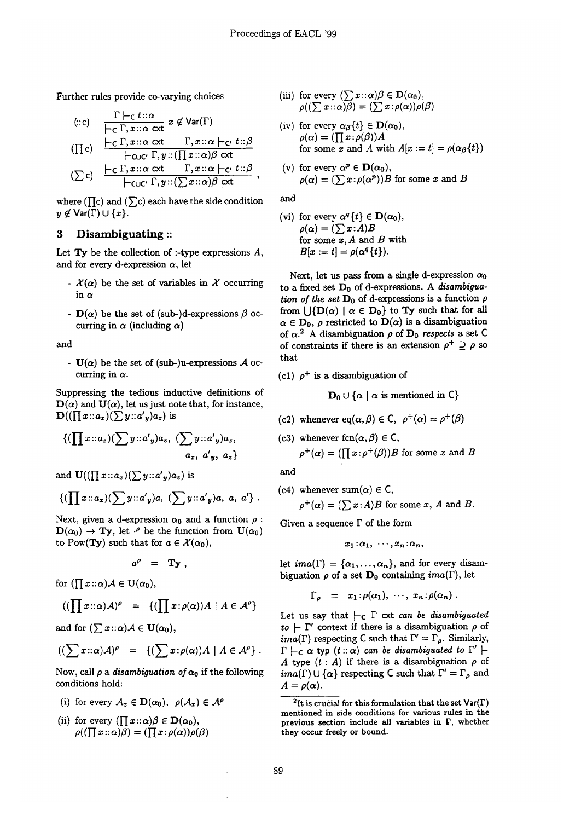Further rules provide co-varying choices

$$
\begin{array}{ll}\n\text{(::c)} & \frac{\Gamma \models c \text{ t::}\alpha}{\models c \Gamma, x::\alpha \text{ ext}} \ x \notin \text{Var}(\Gamma) \\
\text{(II c)} & \frac{\models c \Gamma, x::\alpha \text{ ext}}{\models c \text{uc} \Gamma, y::(\prod x::\alpha) \beta \text{ ext}} \\
\text{(S c)} & \frac{\models c \Gamma, x::\alpha \text{ ext}}{\models c \text{uc} \Gamma, y::(\sum x::\alpha) \beta \text{ ext}} \\
\text{(S c)} & \frac{\models c \Gamma, x::\alpha \text{ ext}}{\models c \text{uc} \Gamma, y::(\sum x::\alpha) \beta \text{ ext}} \\
\end{array}
$$

where ( $\prod$ c) and ( $\sum$ c) each have the side condition  $y \not\in \mathsf{Var}(\Gamma) \cup \{x\}.$ 

# 3 Disambiguating ::

Let  $Ty$  be the collection of :-type expressions  $A$ , and for every d-expression  $\alpha$ , let

- $\mathcal{X}(\alpha)$  be the set of variables in X occurring in  $\alpha$
- $D(\alpha)$  be the set of (sub-)d-expressions  $\beta$  occurring in  $\alpha$  (including  $\alpha$ )

and

-  $U(\alpha)$  be the set of (sub-)u-expressions A occurring in  $\alpha$ .

Suppressing the tedious inductive definitions of  $\mathbf{D}(\alpha)$  and  $\mathbf{U}(\alpha)$ , let us just note that, for instance,  $\mathbf{D}((\prod x::a_x)(\sum y::a'_y)a_z)$  is

$$
\{(\prod x::a_z)(\sum y::a'y)a_z, (\sum y::a'y)a_z, a_z, a'y, a_z\}
$$

and  $\mathbf{U}((\prod x : a_x)(\sum y : a'_y)a_z)$  is

$$
\{(\prod x : a_x)(\sum y : a'y)a, (\sum y : a'y)a, a, a'\}.
$$

Next, given a d-expression  $\alpha_0$  and a function  $\rho$ :  $\mathbf{D}(\alpha_0) \to \mathbf{Ty}$ , let  $\cdot^{\rho}$  be the function from  $\mathbf{U}(\alpha_0)$ to Pow(**Ty**) such that for  $a \in \mathcal{X}(\alpha_0)$ ,

$$
a^{\rho} = T y ,
$$

for  $(\prod x::\alpha)A \in \mathbf{U}(\alpha_0),$ 

$$
((\prod x::\alpha)\mathcal{A})^{\rho} = \{(\prod x:\rho(\alpha))A \mid A \in \mathcal{A}^{\rho}\}
$$

and for  $(\sum x::\alpha)A \in U(\alpha_0),$ 

$$
((\sum x::\alpha)A)^{\rho} = \{(\sum x:\rho(\alpha))A \mid A \in A^{\rho}\}.
$$

Now, call  $\rho$  a *disambiguation of*  $\alpha_0$  if the following conditions hold:

- (i) for every  $\mathcal{A}_x \in \mathbf{D}(\alpha_0)$ ,  $\rho(\mathcal{A}_x) \in \mathcal{A}^{\rho}$
- (ii) for every  $(\prod x::\alpha)\beta \in \mathbf{D}(\alpha_0),$  $\rho((\prod x \cdot : \alpha)\overline{\beta}) = (\prod x \cdot \rho(\alpha))\rho(\beta)$
- (iii) for every  $(\sum x::\alpha)\beta \in \mathbf{D}(\alpha_0)$ ,  $\rho((\sum x : \alpha)\overline{\beta}) = (\sum x : \rho(\alpha))\rho(\beta)$
- (iv) for every  $\alpha_{\beta}\{t\} \in \mathbf{D}(\alpha_0)$ ,  $\rho(\alpha) = (\prod x : \rho(\beta))A$ for some x and A with  $A[x := t] = \rho(\alpha_{\beta}\{t\})$
- (v) for every  $\alpha^p \in D(\alpha_0)$ ,  $\rho(\alpha) = (\sum x : \rho(\alpha^p))B$  for some x and B

and

(vi) for every  $\alpha^q\{t\} \in \mathbf{D}(\alpha_0)$ ,  $\rho(\alpha) = (\sum x:A)B$ for some  $x$ ,  $A$  and  $B$  with  $B[x := t] = \rho(\alpha^q\{t\}).$ 

Next, let us pass from a single d-expression  $\alpha_0$ to a fixed set Do of d-expressions. A *disambiguation of the set*  $D_0$  of d-expressions is a function  $\rho$ from  $\bigcup {\{\mathbf{D}(\alpha) \mid \alpha \in \mathbf{D}_0\}}$  to **Ty** such that for all  $\alpha \in D_0$ ,  $\rho$  restricted to  $D(\alpha)$  is a disambiguation of  $\alpha$ <sup>2</sup> A disambiguation  $\rho$  of  $D_0$  *respects* a set C of constraints if there is an extension  $\rho^+ \supseteq \rho$  so that

(c1)  $\rho^+$  is a disambiguation of

 $D_0 \cup \{\alpha \mid \alpha \text{ is mentioned in } C\}$ 

- (c2) whenever eq( $\alpha,\beta$ )  $\in$  C,  $\rho^+(\alpha) = \rho^+(\beta)$
- (c3) whenever fcn $(\alpha,\beta) \in \mathsf{C}$ ,  $\rho^+(\alpha) = (\prod x:\rho^+(\beta))B$  for some x and B

and

(c4) whenever sum( $\alpha$ )  $\in$  C,  $\rho^+(\alpha) = (\sum x:A)B$  for some x, A and B.

Given a sequence  $\Gamma$  of the form

$$
x_1:\alpha_1, \cdots, x_n:\alpha_n,
$$

let  $ima(\Gamma) = {\alpha_1, ..., \alpha_n}$ , and for every disambiguation  $\rho$  of a set  $\mathbf{D}_0$  containing *ima*( $\Gamma$ ), let

$$
\Gamma_{\rho} = x_1 : \rho(\alpha_1), \cdots, x_n : \rho(\alpha_n).
$$

Let us say that  $\vdash_{\mathsf{C}} \Gamma$  cxt *can be disambiguated*  $to \vdash \Gamma'$  context if there is a disambiguation  $\rho$  of *ima*( $\Gamma$ ) respecting C such that  $\Gamma' = \Gamma_{\rho}$ . Similarly,  $\Gamma \vdash_{\mathsf{C}} \alpha$  typ  $(t::\alpha)$  *can be disambiguated to*  $\Gamma' \vdash$ A type  $(t : A)$  if there is a disambiguation  $\rho$  of *ima*( $\Gamma$ )  $\cup$  { $\alpha$ } respecting C such that  $\Gamma' = \Gamma_{\rho}$  and  $A = \rho(\alpha)$ .

<sup>2</sup>It is crucial for this formulation that the set  $\text{Var}(\Gamma)$ mentioned in side conditions for various rules in the previous section include all variables in P, whether they occur freely or bound.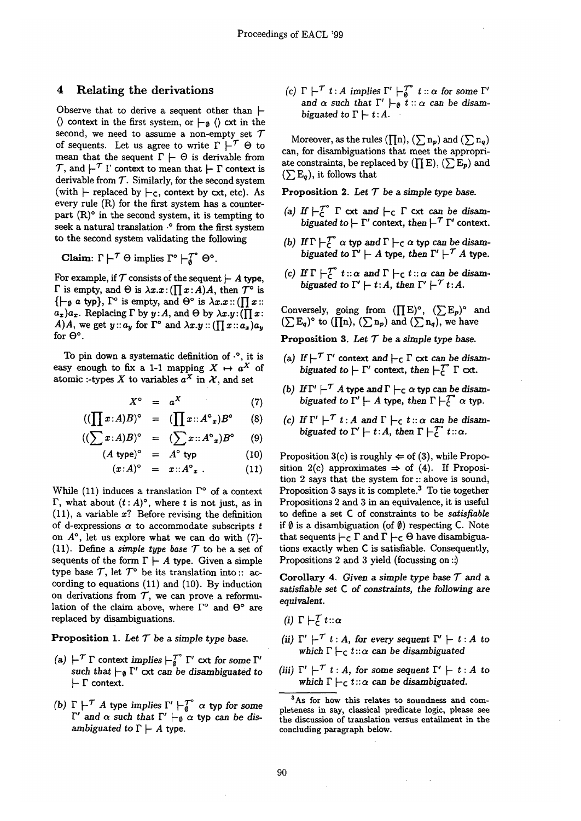### 4 Relating the derivations

Observe that to derive a sequent other than  $\vdash$  $\langle \rangle$  context in the first system, or  $\vdash_{\emptyset} \langle \rangle$  cxt in the second, we need to assume a non-empty set  $\mathcal T$ of sequents. Let us agree to write  $\Gamma \vdash^{\mathcal{T}} \Theta$  to mean that the sequent  $\Gamma \vdash \Theta$  is derivable from  $\mathcal{T}$ , and  $\vdash^{\mathcal{T}} \Gamma$  context to mean that  $\vdash \Gamma$  context is derivable from  $T$ . Similarly, for the second system (with  $\vdash$  replaced by  $\vdash$ c, context by cxt, etc). As every rule (R) for the first system has a counterpart  $(R)$ <sup>o</sup> in the second system, it is tempting to seek a natural translation .° from the first system to the second system validating the following

Claim:  $\Gamma \vdash^{\mathcal{T}} \Theta$  implies  $\Gamma^{\circ} \vdash^{\mathcal{T}^{\circ}}_0 \Theta^{\circ}$ .

For example, if  $T$  consists of the sequent  $\vdash A$  type,  $\Gamma$  is empty, and  $\Theta$  is  $\lambda x.x:(\prod x:A)A$ , then  $\mathcal{T}^{\circ}$  is  ${+}_{\emptyset}$  a typ},  $\Gamma^{\circ}$  is empty, and  $\Theta^{\circ}$  is  $\lambda x.x :: (\prod x ::$  $a_x$ ) $a_x$ . Replacing  $\Gamma$  by  $y: A$ , and  $\Theta$  by  $\lambda x. y: (\prod x :$ *A)A,* we get  $y : a_y$  for  $\Gamma^{\circ}$  and  $\lambda x . y : (\prod x : a_x)a_y$ for  $\Theta$ °.

To pin down a systematic definition of  $\cdot$ °, it is easy enough to fix a 1-1 mapping  $X \mapsto a^X$  of atomic :-types X to variables  $a^X$  in X, and set

 $\mathcal{C}(\prod)$ 

$$
X^{\circ} = a^X \tag{7}
$$

$$
x:A)B)^\circ = (\prod x:A^\circ_x)B^\circ \qquad (8)
$$

$$
((\sum x:A)B)^{\circ} = (\sum x:A^{\circ}{}_{x})B^{\circ} \qquad (9)
$$

 $(A \text{ type})^{\circ} = A^{\circ} \text{ type}$  (10)

$$
(x:A)^{\circ} = x:A^{\circ}{}_{x}.
$$
 (11)

While (11) induces a translation  $\Gamma^{\circ}$  of a context  $\Gamma$ , what about  $(t : A)^\circ$ , where t is not just, as in  $(11)$ , a variable x? Before revising the definition of d-expressions  $\alpha$  to accommodate subscripts  $t$ on  $A^{\circ}$ , let us explore what we can do with (7)-(11). Define a *simple type base*  $\mathcal T$  to be a set of sequents of the form  $\Gamma \vdash A$  type. Given a simple type base  $\mathcal{T}$ , let  $\mathcal{T}^{\circ}$  be its translation into :: according to equations (11) and (10). By induction on derivations from  $T$ , we can prove a reformulation of the claim above, where  $\Gamma^{\circ}$  and  $\Theta^{\circ}$  are replaced by disambiguations.

**Proposition** 1. Let  $T$  be a simple type base.

- (a)  $\vdash^{\mathcal{T}} \Gamma$  context *implies*  $\vdash^{\mathcal{T}^{\circ}}_0 \Gamma'$  cxt for some  $\Gamma'$ such that  $\vdash_{\emptyset} \Gamma'$  cxt can be disambiguated to  $\vdash \Gamma$  context.
- *(b)*  $\Gamma$   $\vdash$  *A* type *implies*  $\Gamma'$   $\vdash$  *a*  $\alpha$  typ for some  $\Gamma'$  and  $\alpha$  such that  $\Gamma' \models_{\emptyset} \alpha$  typ can be dis*ambiguated to*  $\Gamma \vdash A$  *type.*

 $f(c) \Gamma \vdash^{f} t : A$  implies  $\Gamma' \vdash^{f}_{\alpha} t : \alpha$  for some  $\Gamma'$ and  $\alpha$  such that  $\Gamma' \vdash_{\emptyset} t :: \alpha$  can be disam*biguated to*  $\Gamma \vdash t:A$ .

Moreover, as the rules  $(\prod n)$ ,  $(\sum n_p)$  and  $(\sum n_q)$ can, for disambiguations that meet the appropriate constraints, be replaced by ( $\prod E$ ), ( $\sum E_p$ ) and  $(\sum E_q)$ , it follows that

**Proposition 2.** Let  $T$  be a simple type base.

- (a) If  $\vdash$   $\subset$   $\Gamma$  cxt and  $\vdash$   $\subset$   $\Gamma$  cxt can be disam*biguated to*  $\vdash \Gamma'$  context, *then*  $\vdash' \Gamma'$  context.
- (b) If  $\Gamma \vdash_{\mathcal{C}}^{\mathcal{C}} \alpha$  typ and  $\Gamma \vdash_{\mathcal{C}} \alpha$  typ can be disam*biguated to*  $\Gamma' \vdash A$  *type, then*  $\Gamma' \vdash' A$  *type.*
- (c) If  $\Gamma \vdash_{\mathsf{C}}^{\gamma} t::\alpha$  and  $\Gamma \vdash_{\mathsf{C}} t::\alpha$  can be disam*biguated to*  $\Gamma' \vdash t:A$ , then  $\Gamma' \vdash^{T} t:A$ .

Conversely, going from  $(\prod E)^{\circ}$ ,  $(\sum E_p)^{\circ}$  and  $(\sum E_q)^\circ$  to  $(\prod n)$ ,  $(\sum n_p)$  and  $(\sum n_q)$ , we have

**Proposition 3.** Let  $T$  be a simple type base.

- (a) If  $\vdash^{\mathcal{T}} \Gamma'$  context and  $\vdash_c \Gamma$  cxt can be disam*biguated to*  $\vdash \Gamma'$  context, *then*  $\vdash \overline{c}^{\circ}$   $\Gamma$  cxt.
- (b) If  $\Gamma' \models^{\mathcal{T}} A$  type and  $\Gamma \models_C \alpha$  typ can be disam*biguated to*  $\Gamma' \vdash A$  *type, then*  $\Gamma \vdash^{T^o} \alpha$  *typ.*
- (c) If  $\Gamma' \vdash'' t : A$  and  $\Gamma \vdash_{\mathsf{C}} t :: \alpha$  can be disam*biguated to*  $\Gamma' \vdash t:A$ , then  $\Gamma \vdash_{\mathcal{C}}^{T} t::\alpha$ .

Proposition 3(c) is roughly  $\Leftrightarrow$  of (3), while Proposition 2(c) approximates  $\Rightarrow$  of (4). If Proposition 2 says that the system for :: above is sound, Proposition 3 says it is complete.<sup>3</sup> To tie together Propositions 2 and 3 in an equivalence, it is useful to define a set C of constraints to be *satisfiable*  if  $\emptyset$  is a disambiguation (of  $\emptyset$ ) respecting C. Note that sequents  $\vdash_c \Gamma$  and  $\Gamma \vdash_c \Theta$  have disambiguations exactly when C is satisfiable. Consequently, Propositions 2 and 3 yield (focussing on ::)

Corollary 4. *Given a simple type base*  $\mathcal T$  and a *satisfiable set C of constraints, the following are equivalent.* 

(i)  $\Gamma \vdash^{\mathcal{T}} t :: \alpha$ 

- (ii)  $\Gamma' \vdash^{\mathcal{T}} t : A$ , for *every sequent*  $\Gamma' \vdash t : A$  to which  $\Gamma \vdash_{\mathsf{C}} t : \alpha$  *can be disambiguated*
- (iii)  $\Gamma' \vdash^{\mathcal{T}} t : A$ , for some sequent  $\Gamma' \vdash t : A$  to which  $\Gamma \vdash_{\mathsf{C}} t::\alpha$  can be disambiguated.

<sup>&</sup>lt;sup>3</sup>As for how this relates to soundness and completeness in say, classical predicate logic, please see the discussion of translation versus entailment in the concluding paragraph below.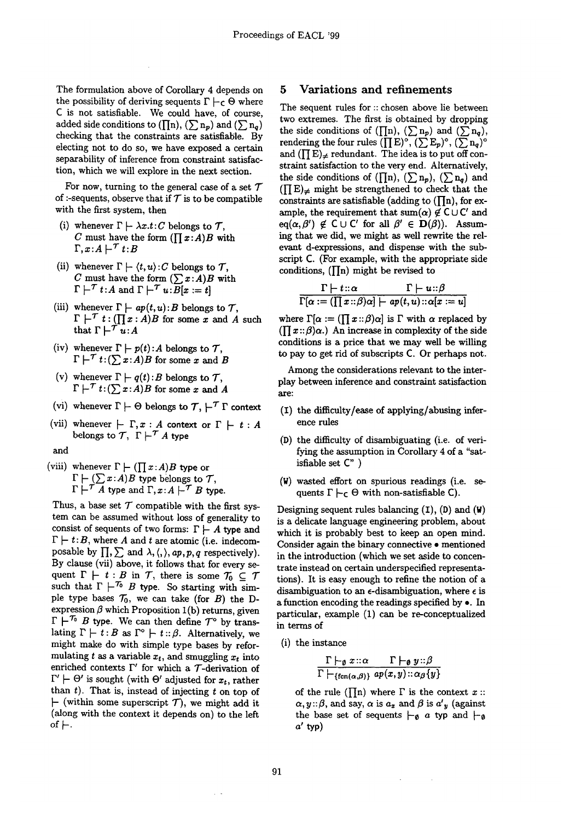The formulation above of Corollary 4 depends on the possibility of deriving sequents  $\Gamma \vdash_{\mathsf{C}} \Theta$  where C is not satisfiable. We could have, of course, added side conditions to ( $\prod n$ ),  $(\sum n_p)$  and  $(\sum n_q)$ checking that the constraints are satisfiable. By electing not to do so, we have exposed a certain separability of inference from constraint satisfaction, which we will explore in the next section.

For now, turning to the general case of a set  $\mathcal T$ of :-sequents, observe that if  $\mathcal T$  is to be compatible with the first system, then

- (i) whenever  $\Gamma \vdash \lambda x.t:C$  belongs to T, C must have the form  $(\prod x:A)B$  with  $\Gamma, x:A \vdash^{\mathcal{T}} t:B$
- (ii) whenever  $\Gamma \vdash \langle t, u \rangle : C$  belongs to  $\mathcal{T}$ , C must have the form  $(\sum x:A)B$  with  $\Gamma \vdash^{\mathcal{T}} t:A$  and  $\Gamma \vdash^{\mathcal{T}} u:\overline{B}[x := t]$
- (iii) whenever  $\Gamma \vdash ap(t, u): B$  belongs to  $\mathcal{T}$ ,  $\Gamma \vdash^{\mathcal{T}} t : (\prod x : A)B$  for some x and A such that  $\Gamma \vdash \tilde{\tau} \tilde{u}: A$
- (iv) whenever  $\Gamma \vdash p(t)$ : *A* belongs to  $\mathcal{T}$ ,  $\Gamma \vdash^{\mathcal{T}} t: (\sum x:A)B$  for some x and B
- whenever  $\Gamma \vdash q(t)$ : *B* belongs to  $\mathcal{T}$ ,  $\Gamma \vdash' t: (\sum x:A)B$  for some x and A (v)
- (vi) whenever  $\Gamma \vdash \Theta$  belongs to  $\mathcal{T}, \vdash^{\mathcal{T}} \Gamma$  context
- (vii) whenever  $\vdash \Gamma, x : A$  context or  $\Gamma \vdash t : A$ belongs to  $\mathcal{T}$ ,  $\Gamma \vdash^{\mathcal{T}} A$  type
- and
- (viii) whenever  $\Gamma \vdash (\prod x:A)B$  type or  $\Gamma \vdash (\sum x{:}A)B$  type belongs to  $\mathcal{T},$  $\Gamma\vdash' A$  type and  $\Gamma, x:A\vdash^{\mathcal{T}} B$  type.

Thus, a base set  $T$  compatible with the first system can be assumed without loss of generality to consist of sequents of two forms:  $\Gamma \vdash A$  type and  $\Gamma \vdash t:B$ , where A and t are atomic (i.e. indecomposable by  $\prod$ ,  $\sum$  and  $\lambda$ ,  $\langle$ ,  $\rangle$ ,  $ap$ ,  $p$ ,  $q$  respectively). By clause (vii) above, it follows that for every sequent  $\Gamma \vdash t : B$  in T, there is some  $\mathcal{T}_0 \subseteq \mathcal{T}$ such that  $\Gamma \vdash$  'o B type. So starting with simple type bases  $\mathcal{T}_0$ , we can take (for B) the Dexpression  $\beta$  which Proposition 1(b) returns, given  $\Gamma \vdash^{T_0} B$  type. We can then define  $\mathcal{T}^{\circ}$  by translating  $\Gamma \vdash t:B$  as  $\Gamma^{\circ} \vdash t:\beta$ . Alternatively, we might make do with simple type bases by reformulating t as a variable  $x_t$ , and smuggling  $x_t$  into enriched contexts  $\Gamma'$  for which a  $\mathcal{T}$ -derivation of  $\Gamma' \vdash \Theta'$  is sought (with  $\Theta'$  adjusted for  $x_t$ , rather than  $t$ ). That is, instead of injecting  $t$  on top of  $\vdash$  (within some superscript T), we might add it (along with the context it depends on) to the left of  $\vdash$ .

#### 5 Variations and refinements

The sequent rules for :: chosen above lie between two extremes. The first is obtained by dropping the side conditions of ( $\prod_{n}$ ), ( $\sum_{n}$ ) and ( $\sum_{n}$ ), rendering the four rules  $([E]^{\circ}, (\sum E_p)^{\circ}, (\sum n_q)^{\circ})$ and  $(\prod E)_{\neq}$  redundant. The idea is to put off constraint satisfaction to the very end. Alternatively, the side conditions of  $(\prod n)$ ,  $(\sum n_p)$ ,  $(\sum n_q)$  and  $(\prod E)_{\neq}$  might be strengthened to check that the constraints are satisfiable (adding to  $(\prod n)$ , for example, the requirement that sum( $\alpha$ )  $\notin$  C $\cup$  C' and  $eq(\alpha,\beta') \notin C \cup C'$  for all  $\beta' \in D(\beta)$ . Assuming that we did, we might as well rewrite the relevant d-expressions, and dispense with the subscript C. (For example, with the appropriate side conditions,  $(\prod n)$  might be revised to

$$
\dfrac{\Gamma\vdash t::\alpha\qquad\Gamma\vdash u::\beta}{\Gamma[\alpha:=(\prod x::\beta)\alpha]\vdash ap(t,u)::\alpha[x:=u]}
$$

where  $\Gamma[\alpha := (\prod x : \beta)\alpha]$  is  $\Gamma$  with  $\alpha$  replaced by  $(\prod x : \beta) \alpha$ .) An increase in complexity of the side conditions is a price that we may well be willing to pay to get rid of subscripts C. Or perhaps not.

Among the considerations relevant to the interplay between inference and constraint satisfaction are:

- **(z)** the diffficulty/ease of applying/abusing inference rules
- (D) the difficulty of disambiguating (i.e. of verifying the assumption in Corollary 4 of a "satisfiable set C" )
- (W) wasted effort on spurious readings (i.e. sequents  $\Gamma \vdash_{\mathsf{C}} \Theta$  with non-satisfiable C).

Designing sequent rules balancing  $(I)$ ,  $(D)$  and  $(W)$ is a delicate language engineering problem, about which it is probably best to keep an open mind. Consider again the binary connective • mentioned in the introduction (which we set aside to concentrate instead on certain underspecified representations). It is easy enough to refine the notion of a disambiguation to an  $\epsilon$ -disambiguation, where  $\epsilon$  is a function encoding the readings specified by  $\bullet$ . In particular, example (1) can be re-conceptualized in terms of

(i) the instance

$$
\frac{\Gamma\vdash_{\emptyset} x::\alpha\qquad \Gamma\vdash_{\emptyset} y::\beta}{\Gamma\vdash_{\{\text{fen}(\alpha,\beta)\}} ap(x,y)::\alpha_{\beta}\{y\}}
$$

of the rule ( $\prod$ n) where  $\Gamma$  is the context  $x$  ::  $\alpha, y: \beta$ , and say,  $\alpha$  is  $a_x$  and  $\beta$  is  $a'_y$  (against the base set of sequents  $\vdash_{\emptyset} a$  typ and  $\vdash_{\emptyset}$  $a'$  typ)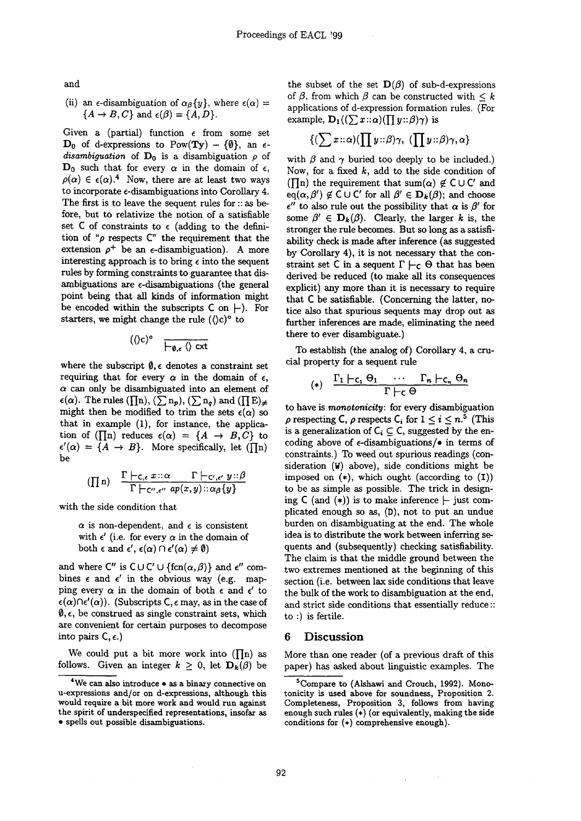and

### (ii) an  $\epsilon$ -disambiguation of  $\alpha_{\beta}\{y\}$ , where  $\epsilon(\alpha)$  =  ${A \rightarrow B, C}$  and  $\epsilon(\beta) = {A, D}$ .

Given a (partial) function  $\epsilon$  from some set  $D_0$  of d-expressions to Pow(Ty) – {0}, an  $\epsilon$ *disambiguation* of  $D_0$  is a disambiguation  $\rho$  of  $D_0$  such that for every  $\alpha$  in the domain of  $\epsilon$ ,  $\rho(\alpha) \in \epsilon(\alpha)$ .<sup>4</sup> Now, there are at least two ways to incorporate  $\epsilon$ -disambiguations into Corollary 4. The first is to leave the sequent rules for :: as before, but to relativize the notion of a satisfiable set  $C$  of constraints to  $\epsilon$  (adding to the definition of " $\rho$  respects  $C$ " the requirement that the extension  $\rho^+$  be an  $\epsilon$ -disambiguation). A more interesting approach is to bring  $\epsilon$  into the sequent rules by forming constraints to guarantee that disambiguations are e-disambiguations (the general point being that all kinds of information might be encoded within the subscripts  $C$  on  $\vdash$ ). For starters, we might change the rule  $(\langle c \rangle^{\circ}$  to

$$
(\langle c \rangle^{\circ} \quad \overline{\vdash_{\emptyset,\epsilon} \langle} \rangle \text{ cxt}
$$

where the subscript  $\emptyset$ ,  $\epsilon$  denotes a constraint set requiring that for every  $\alpha$  in the domain of  $\epsilon$ ,  $\alpha$  can only be disambiguated into an element of  $\epsilon(\alpha)$ . The rules  $(\prod n)$ ,  $(\sum n_p)$ ,  $(\sum n_q)$  and  $(\prod E)_{\neq q}$ might then be modified to trim the sets  $\epsilon(\alpha)$  so that in example (1), for instance, the application of ( $\prod_{n=1}^{\infty}$ ) reduces  $\epsilon(\alpha) = \{A \rightarrow B, C\}$  to  $\epsilon'(\alpha) = \{A \rightarrow B\}$ . More specifically, let ([In) be

$$
(\prod n) \quad \frac{\Gamma \vdash_{\mathsf{C},\epsilon} x::\alpha \quad \Gamma \vdash_{\mathsf{C}',\epsilon'} y::\beta}{\Gamma \vdash_{\mathsf{C}'',\epsilon''} ap(x,y): \alpha_{\beta} \{y\}}
$$

with the side condition that

 $\alpha$  is non-dependent, and  $\epsilon$  is consistent with  $\epsilon'$  (i.e. for every  $\alpha$  in the domain of both  $\epsilon$  and  $\epsilon'$ ,  $\epsilon(\alpha) \cap \epsilon'(\alpha) \neq \emptyset$ 

and where  $C''$  is  $C \cup C' \cup \{ \text{fcn}(\alpha,\beta) \}$  and  $\epsilon''$  combines  $\epsilon$  and  $\epsilon'$  in the obvious way (e.g. mapping every  $\alpha$  in the domain of both  $\epsilon$  and  $\epsilon'$  to  $\epsilon(\alpha) \cap \epsilon'(\alpha)$ . (Subscripts C,  $\epsilon$  may, as in the case of  $\emptyset$ ,  $\epsilon$ , be construed as single constraint sets, which are convenient for certain purposes to decompose into pairs  $C, \epsilon$ .)

We could put a bit more work into  $(\prod n)$  as follows. Given an integer  $k \geq 0$ , let  $\mathbf{D}_k(\beta)$  be the subset of the set  $\mathbf{D}(\beta)$  of sub-d-expressions of  $\beta$ , from which  $\beta$  can be constructed with  $\leq k$ applications of d-expression formation rules. (For example,  $\mathbf{D}_1((\sum x \cdot : \alpha)(\prod y :: \beta)\gamma)$  is

$$
\{(\sum x::\alpha)(\prod y::\beta)\gamma, (\prod y::\beta)\gamma,\alpha\}
$$

with  $\beta$  and  $\gamma$  buried too deeply to be included.) Now, for a fixed  $k$ , add to the side condition of ( $\prod$ n) the requirement that sum( $\alpha$ )  $\notin$  C  $\cup$  C' and  $eq(\alpha, \beta') \notin C \cup C'$  for all  $\beta' \in D_k(\beta)$ ; and choose  $\epsilon''$  to also rule out the possibility that  $\alpha$  is  $\beta'$  for some  $\beta' \in D_k(\beta)$ . Clearly, the larger k is, the stronger the rule becomes. But so long as a satisfiability check is made after inference (as suggested by Corollary 4), it is not necessary that the constraint set C in a sequent  $\Gamma \vdash_{\mathsf{C}} \Theta$  that has been derived be reduced (to make all its consequences explicit) any more than it is necessary to require that C be satisfiable. (Concerning the latter, notice also that spurious sequents may drop out as further inferences are made, eliminating the need there to ever disambiguate.)

To establish (the analog of) Corollary 4, a crucial property for a sequent rule

$$
(*) \quad \frac{\Gamma_1 \mid -c_1 \Theta_1 \quad \cdots \quad \Gamma_n \mid -c_n \Theta_n}{\Gamma \mid -c \Theta}
$$

to have is *monotonicity:* for every disambiguation  $\rho$  respecting C,  $\rho$  respects C<sub>i</sub> for  $1 \leq i \leq n$ <sup>5</sup> (This is a generalization of  $C_i \subseteq C$ , suggested by the encoding above of  $\epsilon$ -disambiguations/ $\bullet$  in terms of constraints.) To weed out spurious readings (consideration (W) above), side conditions might be imposed on  $(*)$ , which ought (according to  $(I)$ ) to be as simple as possible. The trick in designing  $C$  (and  $(*)$ ) is to make inference  $\vdash$  just complicated enough so as, (D), not to put an undue burden on disambiguating at the end. The whole idea is to distribute the work between inferring sequents and (subsequently) checking satisfiability. The claim is that the middle ground between the two extremes mentioned at the beginning of this section (i.e. between lax side conditions that leave the bulk of the work to disambiguation at the end, and strict side conditions that essentially reduce:: to :) is fertile.

#### 6 Discussion

More than one reader (of a previous draft of this paper) has asked about linguistic examples. The

 $4$ We can also introduce  $\bullet$  as a binary connective on u-expressions and/or on d-expressions, although this would require a bit more work and would run against the spirit of underspecified representations, insofar as • spells out possible disambiguations.

<sup>5</sup>Compare to (Alshawi and Crouch, 1992). Monotonicity is used above for soundness, Proposition 2. Completeness, Proposition 3, follows from having enough such rules (\*) (or equivalently, making the side conditions for (\*) comprehensive enough).